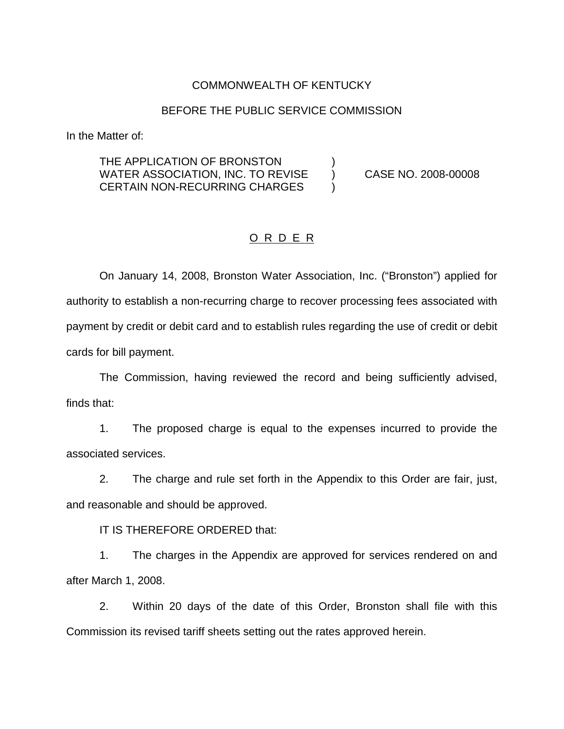### COMMONWEALTH OF KENTUCKY

#### BEFORE THE PUBLIC SERVICE COMMISSION

In the Matter of:

THE APPLICATION OF BRONSTON WATER ASSOCIATION, INC. TO REVISE (a) CASE NO. 2008-00008 CERTAIN NON-RECURRING CHARGES  $\qquad$ 

### O R D E R

On January 14, 2008, Bronston Water Association, Inc. ("Bronston") applied for authority to establish a non-recurring charge to recover processing fees associated with payment by credit or debit card and to establish rules regarding the use of credit or debit cards for bill payment.

The Commission, having reviewed the record and being sufficiently advised, finds that:

1. The proposed charge is equal to the expenses incurred to provide the associated services.

2. The charge and rule set forth in the Appendix to this Order are fair, just, and reasonable and should be approved.

IT IS THEREFORE ORDERED that:

1. The charges in the Appendix are approved for services rendered on and after March 1, 2008.

2. Within 20 days of the date of this Order, Bronston shall file with this Commission its revised tariff sheets setting out the rates approved herein.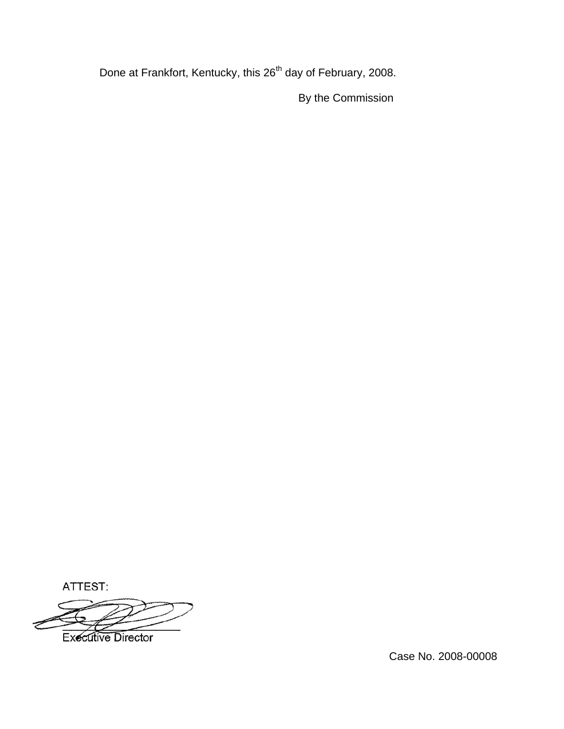Done at Frankfort, Kentucky, this 26<sup>th</sup> day of February, 2008.

By the Commission

ATTEST:

**Executive Director** 

Case No. 2008-00008